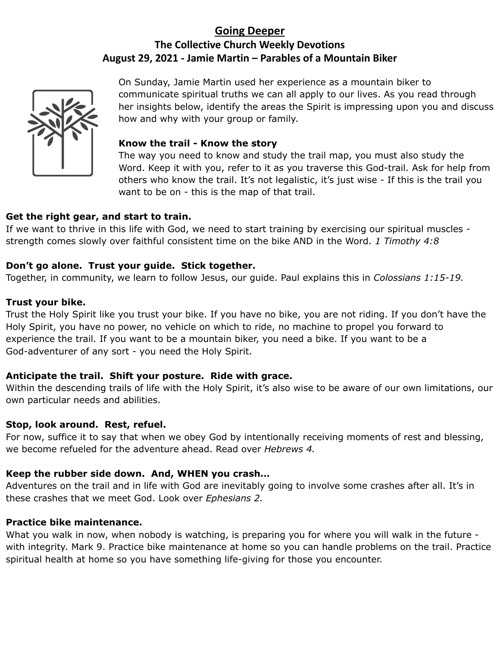# **Going Deeper The Collective Church Weekly Devotions August 29, 2021 - Jamie Martin – Parables of a Mountain Biker**



On Sunday, Jamie Martin used her experience as a mountain biker to communicate spiritual truths we can all apply to our lives. As you read through her insights below, identify the areas the Spirit is impressing upon you and discuss how and why with your group or family.

#### **Know the trail - Know the story**

The way you need to know and study the trail map, you must also study the Word. Keep it with you, refer to it as you traverse this God-trail. Ask for help from others who know the trail. It's not legalistic, it's just wise - If this is the trail you want to be on - this is the map of that trail.

## **Get the right gear, and start to train.**

If we want to thrive in this life with God, we need to start training by exercising our spiritual muscles strength comes slowly over faithful consistent time on the bike AND in the Word. *1 Timothy 4:8*

### **Don't go alone. Trust your guide. Stick together.**

Together, in community, we learn to follow Jesus, our guide. Paul explains this in *Colossians 1:15-19.*

#### **Trust your bike.**

Trust the Holy Spirit like you trust your bike. If you have no bike, you are not riding. If you don't have the Holy Spirit, you have no power, no vehicle on which to ride, no machine to propel you forward to experience the trail. If you want to be a mountain biker, you need a bike. If you want to be a God-adventurer of any sort - you need the Holy Spirit.

## **Anticipate the trail. Shift your posture. Ride with grace.**

Within the descending trails of life with the Holy Spirit, it's also wise to be aware of our own limitations, our own particular needs and abilities.

#### **Stop, look around. Rest, refuel.**

For now, suffice it to say that when we obey God by intentionally receiving moments of rest and blessing, we become refueled for the adventure ahead. Read over *Hebrews 4.*

## **Keep the rubber side down. And, WHEN you crash…**

Adventures on the trail and in life with God are inevitably going to involve some crashes after all. It's in these crashes that we meet God. Look over *Ephesians 2.*

## **Practice bike maintenance.**

What you walk in now, when nobody is watching, is preparing you for where you will walk in the future with integrity. Mark 9. Practice bike maintenance at home so you can handle problems on the trail. Practice spiritual health at home so you have something life-giving for those you encounter.